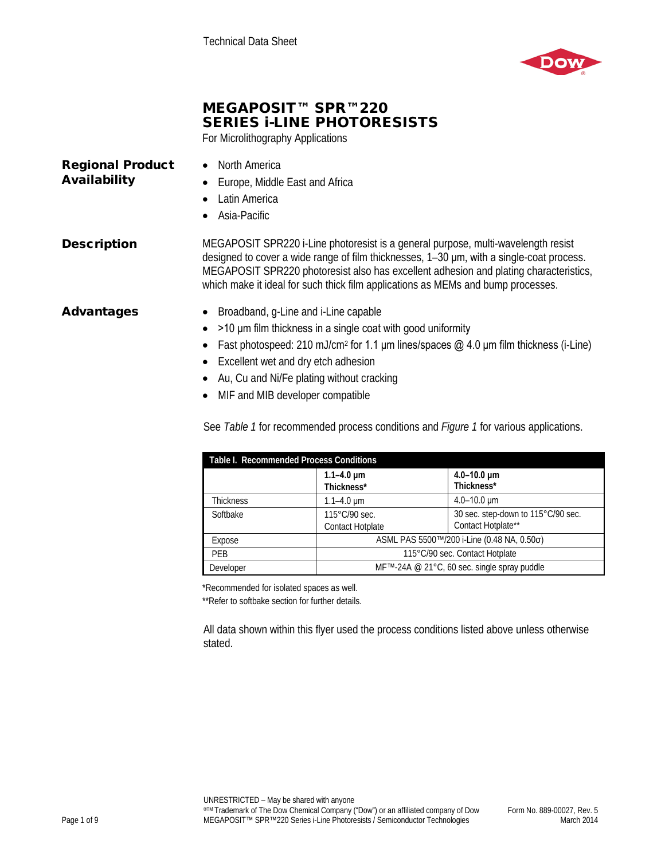

# MEGAPOSIT™ SPR™220 SERIES i-LINE PHOTORESISTS

For Microlithography Applications

| <b>Regional Product</b><br>Availability | North America<br>$\bullet$<br>Europe, Middle East and Africa<br>Latin America<br>$\bullet$ Asia-Pacific                                                                                                                                                                                                                                                    |
|-----------------------------------------|------------------------------------------------------------------------------------------------------------------------------------------------------------------------------------------------------------------------------------------------------------------------------------------------------------------------------------------------------------|
| <b>Description</b>                      | MEGAPOSIT SPR220 i-Line photoresist is a general purpose, multi-wavelength resist<br>designed to cover a wide range of film thicknesses, 1-30 um, with a single-coat process.<br>MEGAPOSIT SPR220 photoresist also has excellent adhesion and plating characteristics,<br>which make it ideal for such thick film applications as MEMs and bump processes. |
| Advantages                              | Broadband, g-Line and i-Line capable<br>>10 µm film thickness in a single coat with good uniformity<br>$\bullet$<br>F I I I I A40 II A F 44 I II I A 40 I                                                                                                                                                                                                  |

- Fast photospeed: 210 mJ/cm<sup>2</sup> for 1.1  $\mu$ m lines/spaces  $\omega$  4.0  $\mu$ m film thickness (i-Line)
- Excellent wet and dry etch adhesion
- Au, Cu and Ni/Fe plating without cracking
- MIF and MIB developer compatible

See *Table 1* for recommended process conditions and *Figure 1* for various applications.

| Table I. Recommended Process Conditions |                                             |                                    |  |
|-----------------------------------------|---------------------------------------------|------------------------------------|--|
|                                         | $1.1 - 4.0 \mu m$<br>Thickness*             | $4.0 - 10.0 \mu m$<br>Thickness*   |  |
| Thickness                               | $1.1 - 4.0 \mu m$                           | $4.0 - 10.0 \mu m$                 |  |
| Softbake                                | $115^{\circ}$ C/90 sec.                     | 30 sec. step-down to 115°C/90 sec. |  |
|                                         | <b>Contact Hotplate</b>                     | Contact Hotplate**                 |  |
| Expose                                  | ASML PAS 5500™/200 i-Line (0.48 NA, 0.50σ)  |                                    |  |
| <b>PEB</b>                              | 115°C/90 sec. Contact Hotplate              |                                    |  |
| Developer                               | MF™-24A @ 21°C, 60 sec. single spray puddle |                                    |  |

\*Recommended for isolated spaces as well.

\*\*Refer to softbake section for further details.

All data shown within this flyer used the process conditions listed above unless otherwise stated.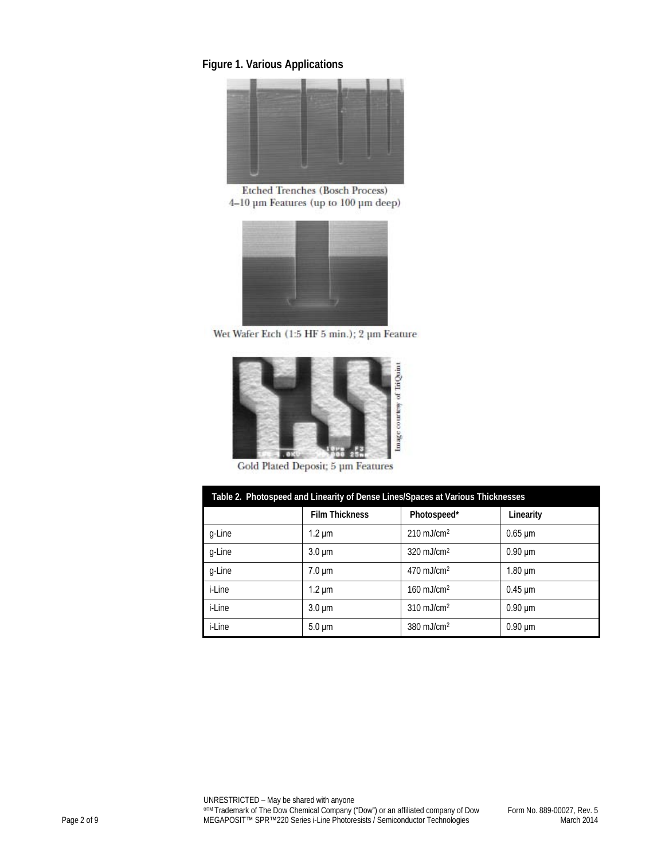## **Figure 1. Various Applications**



Etched Trenches (Bosch Process) 4-10 µm Features (up to 100 µm deep)



Wet Wafer Etch (1:5 HF 5 min.); 2 µm Feature



Gold Plated Deposit; 5 um Features

| Table 2. Photospeed and Linearity of Dense Lines/Spaces at Various Thicknesses |                       |                          |                           |
|--------------------------------------------------------------------------------|-----------------------|--------------------------|---------------------------|
|                                                                                | <b>Film Thickness</b> | Photospeed*              | Linearity                 |
| q-Line                                                                         | $1.2 \mu m$           | $210$ mJ/cm <sup>2</sup> | $0.65 \mu m$              |
| g-Line                                                                         | $3.0 \mu m$           | $320 \text{ mJ/cm}^2$    | $0.90 \mu m$              |
| g-Line                                                                         | $7.0 \mu m$           | $470$ mJ/cm <sup>2</sup> | $1.80 \mu m$              |
| i-Line                                                                         | $1.2 \mu m$           | $160$ mJ/cm <sup>2</sup> | $0.45 \,\mathrm{\upmu m}$ |
| i-Line                                                                         | $3.0 \mu m$           | $310$ mJ/cm <sup>2</sup> | $0.90 \mu m$              |
| <i>i</i> -Line                                                                 | $5.0 \mu m$           | $380$ mJ/cm <sup>2</sup> | $0.90 \mu m$              |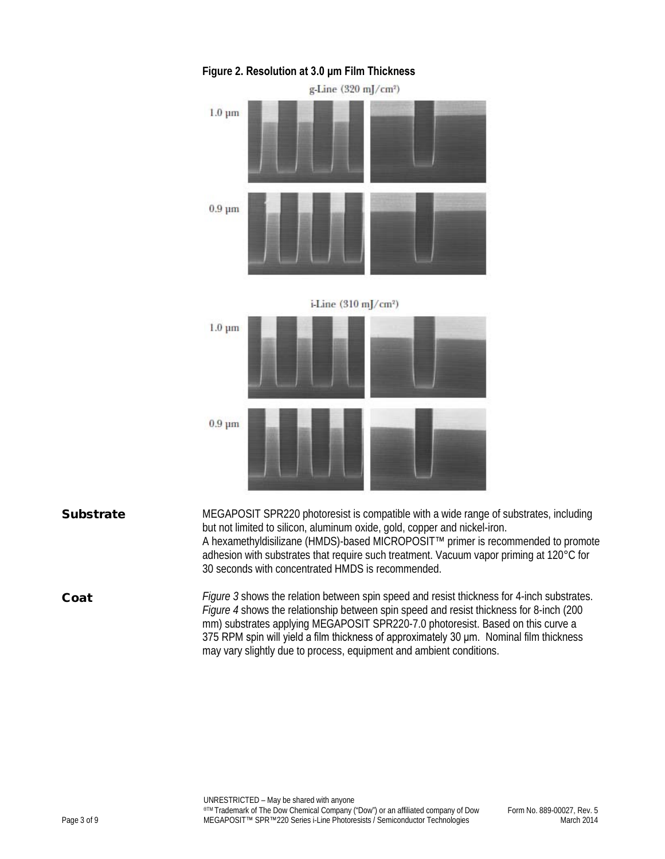

## **Figure 2. Resolution at 3.0 μm Film Thickness**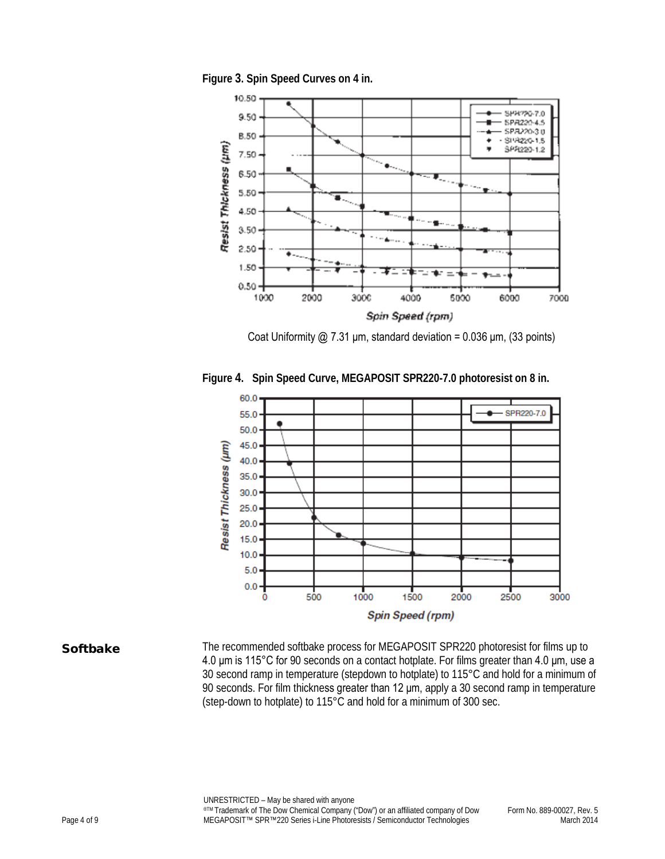**Figure 3. Spin Speed Curves on 4 in.**

![](_page_3_Figure_1.jpeg)

Coat Uniformity  $\omega$  7.31 μm, standard deviation = 0.036 μm, (33 points)

![](_page_3_Figure_3.jpeg)

**Figure 4. Spin Speed Curve, MEGAPOSIT SPR220-7.0 photoresist on 8 in.**

Softbake The recommended softbake process for MEGAPOSIT SPR220 photoresist for films up to 4.0 μm is 115°C for 90 seconds on a contact hotplate. For films greater than 4.0 μm, use a 30 second ramp in temperature (stepdown to hotplate) to 115°C and hold for a minimum of 90 seconds. For film thickness greater than 12 μm, apply a 30 second ramp in temperature (step-down to hotplate) to 115°C and hold for a minimum of 300 sec.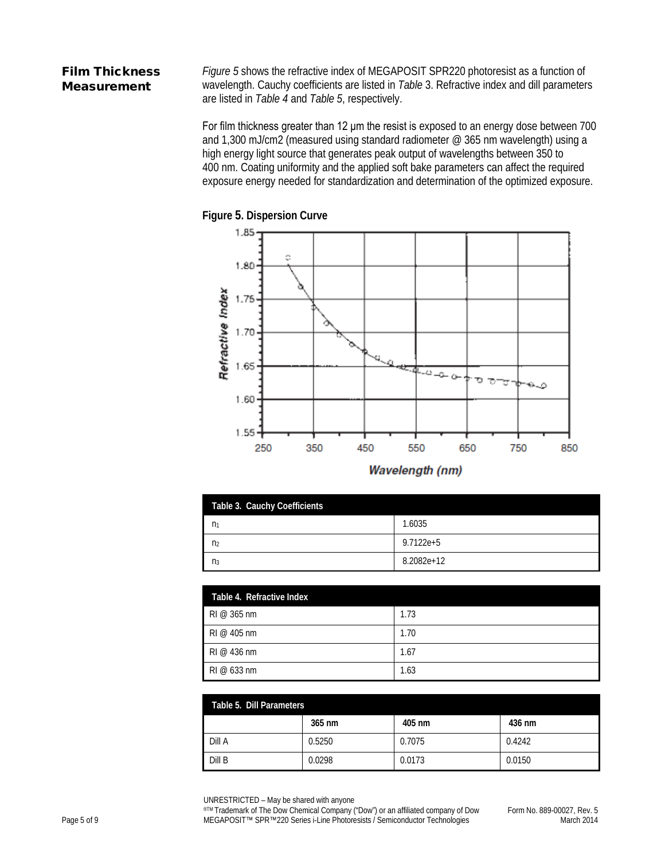## Film Thickness Measurement

*Figure 5* shows the refractive index of MEGAPOSIT SPR220 photoresist as a function of wavelength. Cauchy coefficients are listed in *Table* 3. Refractive index and dill parameters are listed in *Table 4* and *Table 5*, respectively.

For film thickness greater than 12 μm the resist is exposed to an energy dose between 700 and 1,300 mJ/cm2 (measured using standard radiometer @ 365 nm wavelength) using a high energy light source that generates peak output of wavelengths between 350 to 400 nm. Coating uniformity and the applied soft bake parameters can affect the required exposure energy needed for standardization and determination of the optimized exposure.

![](_page_4_Figure_3.jpeg)

![](_page_4_Figure_4.jpeg)

| Wavelength (nm) |  |
|-----------------|--|
|                 |  |

| Table 3. Cauchy Coefficients |            |
|------------------------------|------------|
| n <sub>1</sub>               | 1.6035     |
| n <sub>2</sub>               | 9.7122e+5  |
| $n_3$                        | 8.2082e+12 |

| Table 4. Refractive Index    |      |
|------------------------------|------|
| $RI \n\in \mathbb{S}$ 365 nm | 1.73 |
| $RI \otimes 405$ nm          | 1.70 |
| $RI \otimes 436$ nm          | 1.67 |
| $RI \otimes 633$ nm          | 1.63 |

| Table 5. Dill Parameters |        |        |        |
|--------------------------|--------|--------|--------|
|                          | 365 nm | 405 nm | 436 nm |
| Dill A                   | 0.5250 | 0.7075 | 0.4242 |
| Dill B                   | 0.0298 | 0.0173 | 0.0150 |

UNRESTRICTED – May be shared with anyone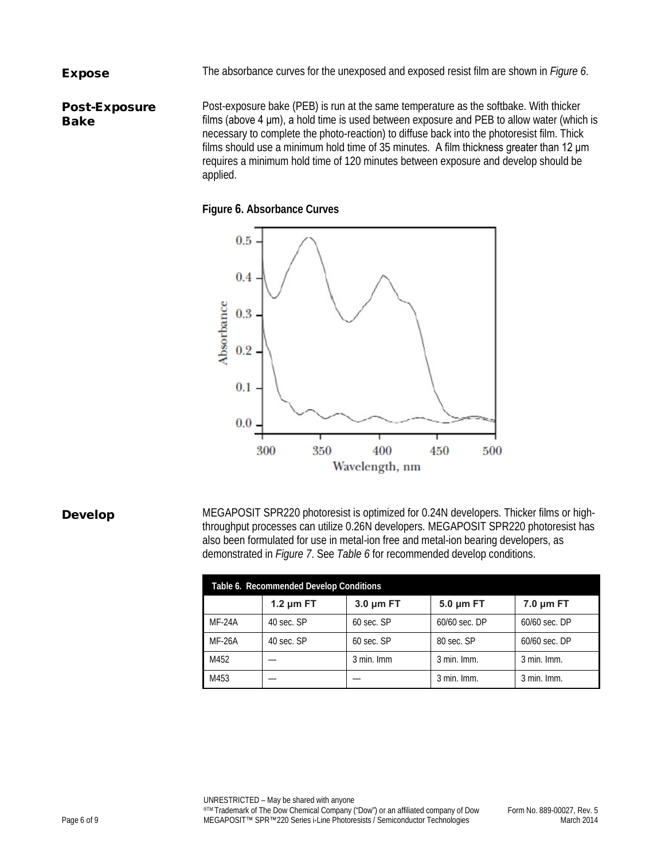Expose The absorbance curves for the unexposed and exposed resist film are shown in *Figure 6*.

Post-Exposure Bake Post-exposure bake (PEB) is run at the same temperature as the softbake. With thicker films (above 4 μm), a hold time is used between exposure and PEB to allow water (which is necessary to complete the photo-reaction) to diffuse back into the photoresist film. Thick films should use a minimum hold time of 35 minutes. A film thickness greater than 12 μm requires a minimum hold time of 120 minutes between exposure and develop should be applied.

### **Figure 6. Absorbance Curves**

![](_page_5_Figure_3.jpeg)

**Develop** MEGAPOSIT SPR220 photoresist is optimized for 0.24N developers. Thicker films or highthroughput processes can utilize 0.26N developers. MEGAPOSIT SPR220 photoresist has also been formulated for use in metal-ion free and metal-ion bearing developers, as demonstrated in *Figure 7*. See *Table 6* for recommended develop conditions.

| Table 6. Recommended Develop Conditions |                |                |                |                |
|-----------------------------------------|----------------|----------------|----------------|----------------|
|                                         | 1.2 $\mu$ m FT | $3.0 \mu m$ FT | $5.0 \mu m$ FT | $7.0 \mu m$ FT |
| MF-24A                                  | 40 sec. SP     | 60 sec. SP     | 60/60 sec. DP  | 60/60 sec. DP  |
| <b>MF-26A</b>                           | 40 sec. SP     | $60$ sec. SP   | 80 sec. SP     | 60/60 sec. DP  |
| M452                                    |                | 3 min. Imm     | $3$ min. Imm.  | $3$ min. Imm.  |
| M453                                    |                |                | 3 min. Imm.    | $3$ min. Imm.  |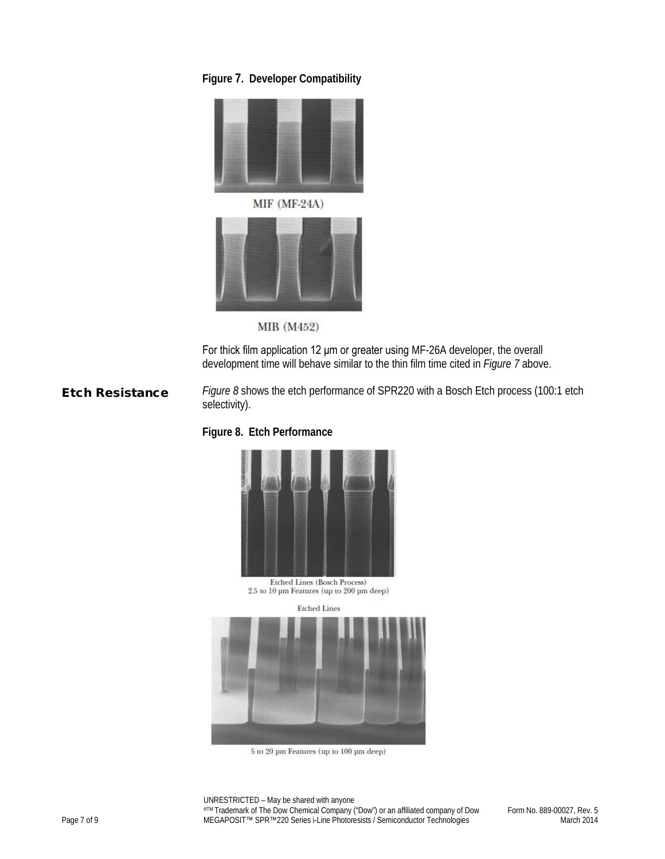## **Figure 7. Developer Compatibility**

![](_page_6_Picture_1.jpeg)

 $MIF$  ( $MF-24A$ )

![](_page_6_Picture_3.jpeg)

MIB (M452)

For thick film application 12 μm or greater using MF-26A developer, the overall development time will behave similar to the thin film time cited in *Figure 7* above.

**Etch Resistance** *Figure 8* shows the etch performance of SPR220 with a Bosch Etch process (100:1 etch selectivity).

## **Figure 8. Etch Performance**

![](_page_6_Picture_8.jpeg)

Etched Lines (Bosch Process)  $2.5$  to  $10~\mu\mathrm{m}$  Features (up to  $200~\mu\mathrm{m}$  deep)

![](_page_6_Picture_10.jpeg)

 $5$  to  $20~\mu\mathrm{m}$  Features (up to  $100~\mu\mathrm{m}$  deep)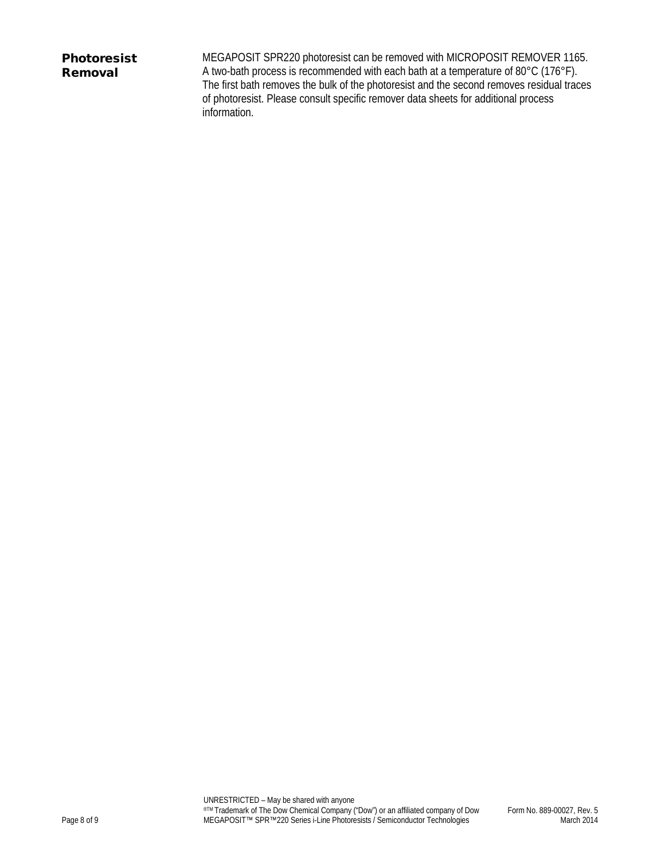# Photoresist Removal

MEGAPOSIT SPR220 photoresist can be removed with MICROPOSIT REMOVER 1165. A two-bath process is recommended with each bath at a temperature of 80°C (176°F). The first bath removes the bulk of the photoresist and the second removes residual traces of photoresist. Please consult specific remover data sheets for additional process information.